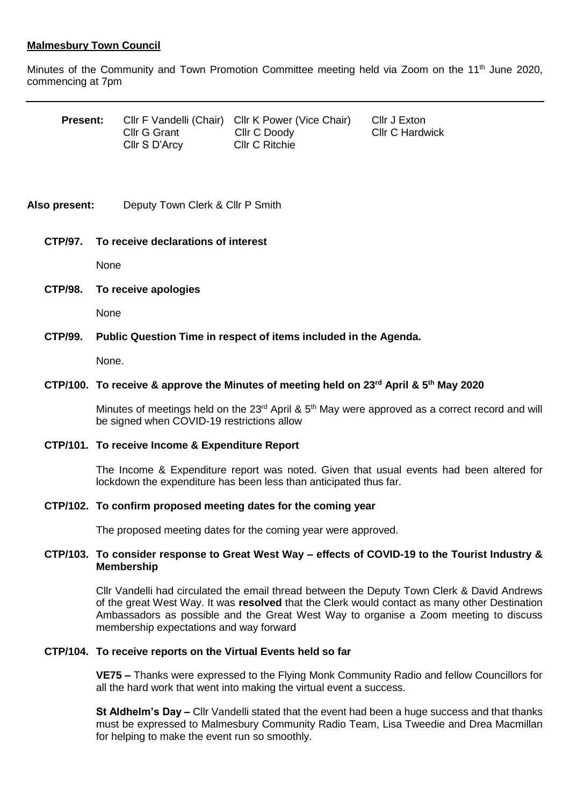# **Malmesbury Town Council**

Minutes of the Community and Town Promotion Committee meeting held via Zoom on the 11<sup>th</sup> June 2020, commencing at 7pm

| <b>Present:</b> |               | CIIr F Vandelli (Chair) CIIr K Power (Vice Chair) | Cllr J Exton           |
|-----------------|---------------|---------------------------------------------------|------------------------|
|                 | Cllr G Grant  | Cllr C Doody                                      | <b>CIIr C Hardwick</b> |
|                 | Cllr S D'Arcy | <b>CIIr C Ritchie</b>                             |                        |

# **Also present:** Deputy Town Clerk & Cllr P Smith

# **CTP/97. To receive declarations of interest**

None

# **CTP/98. To receive apologies**

None

# **CTP/99. Public Question Time in respect of items included in the Agenda.**

None.

# **CTP/100. To receive & approve the Minutes of meeting held on 23rd April & 5th May 2020**

Minutes of meetings held on the  $23<sup>rd</sup>$  April &  $5<sup>th</sup>$  May were approved as a correct record and will be signed when COVID-19 restrictions allow

#### **CTP/101. To receive Income & Expenditure Report**

The Income & Expenditure report was noted. Given that usual events had been altered for lockdown the expenditure has been less than anticipated thus far.

#### **CTP/102. To confirm proposed meeting dates for the coming year**

The proposed meeting dates for the coming year were approved.

# **CTP/103. To consider response to Great West Way – effects of COVID-19 to the Tourist Industry & Membership**

Cllr Vandelli had circulated the email thread between the Deputy Town Clerk & David Andrews of the great West Way. It was **resolved** that the Clerk would contact as many other Destination Ambassadors as possible and the Great West Way to organise a Zoom meeting to discuss membership expectations and way forward

#### **CTP/104. To receive reports on the Virtual Events held so far**

**VE75 –** Thanks were expressed to the Flying Monk Community Radio and fellow Councillors for all the hard work that went into making the virtual event a success.

**St Aldhelm's Day –** Cllr Vandelli stated that the event had been a huge success and that thanks must be expressed to Malmesbury Community Radio Team, Lisa Tweedie and Drea Macmillan for helping to make the event run so smoothly.